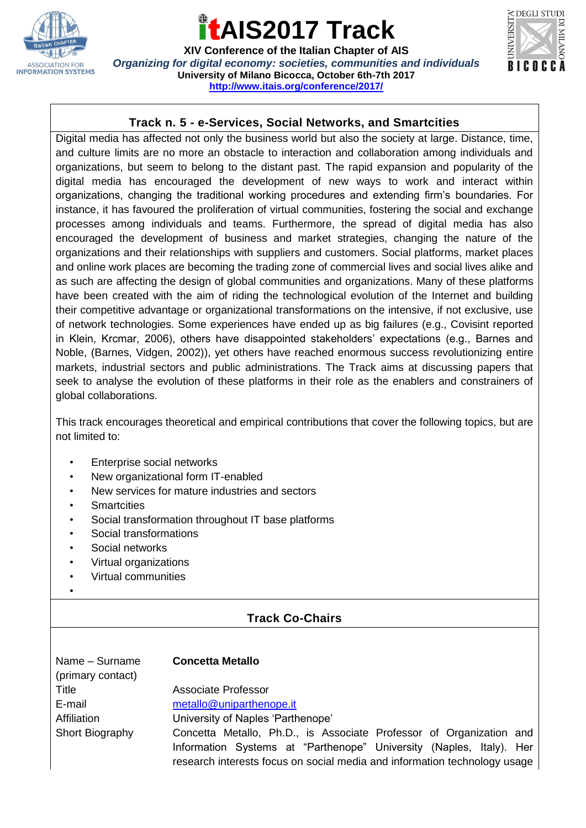

## **AIS2017 Track**

**XIV Conference of the Italian Chapter of AIS** *Organizing for digital economy: societies, communities and individuals* **University of Milano Bicocca, October 6th-7th 2017 <http://www.itais.org/conference/2017/>**



### **Track n. 5 - e-Services, Social Networks, and Smartcities**

Digital media has affected not only the business world but also the society at large. Distance, time, and culture limits are no more an obstacle to interaction and collaboration among individuals and organizations, but seem to belong to the distant past. The rapid expansion and popularity of the digital media has encouraged the development of new ways to work and interact within organizations, changing the traditional working procedures and extending firm's boundaries. For instance, it has favoured the proliferation of virtual communities, fostering the social and exchange processes among individuals and teams. Furthermore, the spread of digital media has also encouraged the development of business and market strategies, changing the nature of the organizations and their relationships with suppliers and customers. Social platforms, market places and online work places are becoming the trading zone of commercial lives and social lives alike and as such are affecting the design of global communities and organizations. Many of these platforms have been created with the aim of riding the technological evolution of the Internet and building their competitive advantage or organizational transformations on the intensive, if not exclusive, use of network technologies. Some experiences have ended up as big failures (e.g., Covisint reported in Klein, Krcmar, 2006), others have disappointed stakeholders' expectations (e.g., Barnes and Noble, (Barnes, Vidgen, 2002)), yet others have reached enormous success revolutionizing entire markets, industrial sectors and public administrations. The Track aims at discussing papers that seek to analyse the evolution of these platforms in their role as the enablers and constrainers of global collaborations.

This track encourages theoretical and empirical contributions that cover the following topics, but are not limited to:

- Enterprise social networks
- New organizational form IT-enabled
- New services for mature industries and sectors
- **Smartcities**
- Social transformation throughout IT base platforms
- Social transformations
- Social networks
- Virtual organizations
- Virtual communities
- •

## **Track Co-Chairs**

| Name - Surname<br>(primary contact) | <b>Concetta Metallo</b>                                                   |
|-------------------------------------|---------------------------------------------------------------------------|
| Title                               | <b>Associate Professor</b>                                                |
| E-mail                              | metallo@uniparthenope.it                                                  |
| Affiliation                         | University of Naples 'Parthenope'                                         |
| Short Biography                     | Concetta Metallo, Ph.D., is Associate Professor of Organization and       |
|                                     | Information Systems at "Parthenope" University (Naples, Italy). Her       |
|                                     | research interests focus on social media and information technology usage |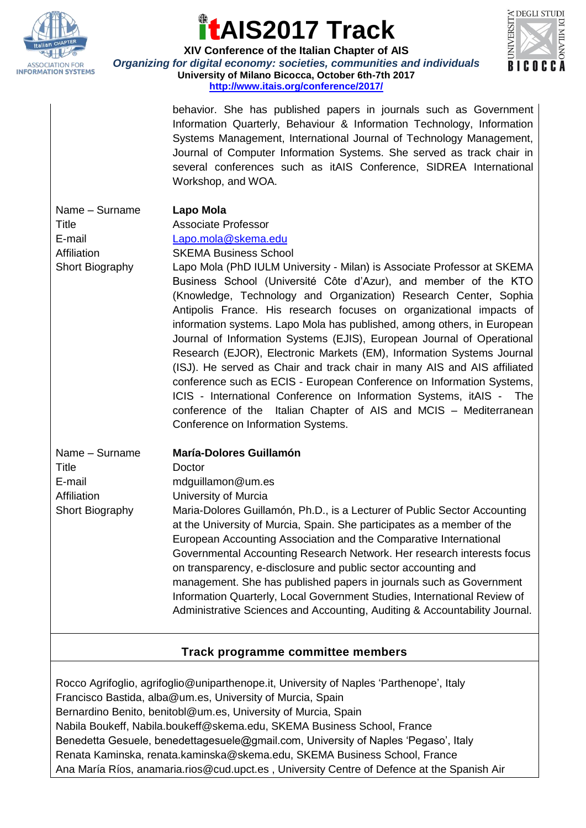

## **AIS2017 Track**



**XIV Conference of the Italian Chapter of AIS** *Organizing for digital economy: societies, communities and individuals* **University of Milano Bicocca, October 6th-7th 2017 <http://www.itais.org/conference/2017/>**

> behavior. She has published papers in journals such as Government Information Quarterly, Behaviour & Information Technology, Information Systems Management, International Journal of Technology Management, Journal of Computer Information Systems. She served as track chair in several conferences such as itAIS Conference, SIDREA International Workshop, and WOA.

Name – Surname **Lapo Mola** E-mail [Lapo.mola@skema.edu](mailto:Lapo.mola@skema.edu) Affiliation SKEMA Business School

Title Associate Professor

Short Biography Lapo Mola (PhD IULM University - Milan) is Associate Professor at SKEMA Business School (Université Côte d'Azur), and member of the KTO (Knowledge, Technology and Organization) Research Center, Sophia Antipolis France. His research focuses on organizational impacts of information systems. Lapo Mola has published, among others, in European Journal of Information Systems (EJIS), European Journal of Operational Research (EJOR), Electronic Markets (EM), Information Systems Journal (ISJ). He served as Chair and track chair in many AIS and AIS affiliated conference such as ECIS - European Conference on Information Systems, ICIS - International Conference on Information Systems, itAIS - The conference of the Italian Chapter of AIS and MCIS – Mediterranean Conference on Information Systems.

Title Doctor

## Name – Surname **María-Dolores Guillamón**

E-mail mdguillamon@um.es Affiliation University of Murcia Short Biography Maria-Dolores Guillamón, Ph.D., is a Lecturer of Public Sector Accounting at the University of Murcia, Spain. She participates as a member of the European Accounting Association and the Comparative International Governmental Accounting Research Network. Her research interests focus on transparency, e-disclosure and public sector accounting and management. She has published papers in journals such as Government Information Quarterly, Local Government Studies, International Review of Administrative Sciences and Accounting, Auditing & Accountability Journal.

## **Track programme committee members**

Rocco Agrifoglio, agrifoglio@uniparthenope.it, University of Naples 'Parthenope', Italy Francisco Bastida, alba@um.es, University of Murcia, Spain Bernardino Benito, benitobl@um.es, University of Murcia, Spain Nabila Boukeff, Nabila.boukeff@skema.edu, SKEMA Business School, France Benedetta Gesuele, benedettagesuele@gmail.com, University of Naples 'Pegaso', Italy Renata Kaminska, renata.kaminska@skema.edu, SKEMA Business School, France Ana María Ríos, anamaria.rios@cud.upct.es , University Centre of Defence at the Spanish Air